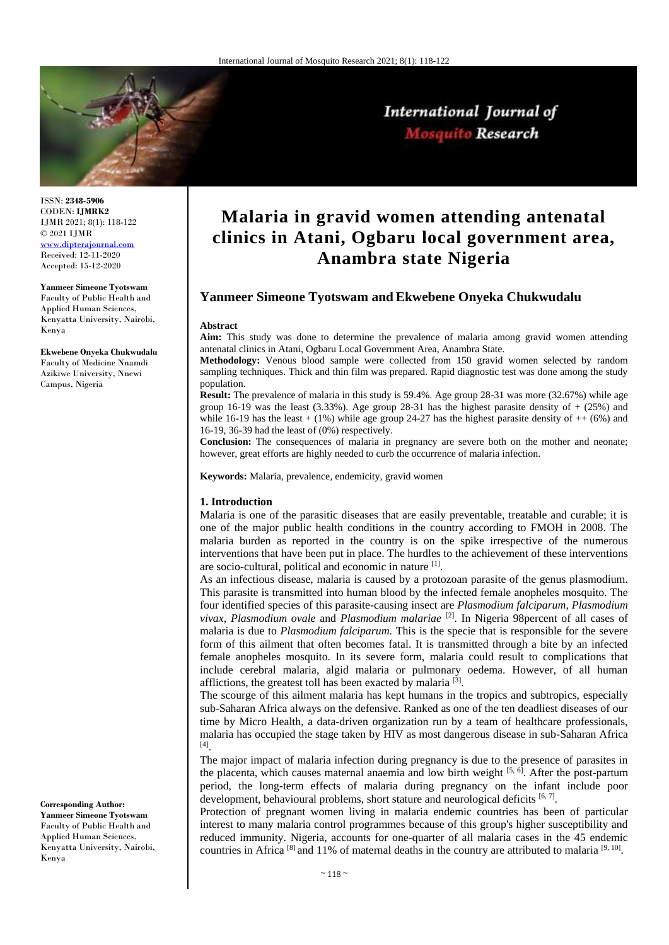

ISSN: **2348-5906** CODEN: **IJMRK2** IJMR 2021; 8(1): 118-122 © 2021 IJMR [www.dipterajournal.com](file://server/d/Mosquito/Issue/8%20Volume/www.dipterajournal.com)

Received: 12-11-2020 Accepted: 15-12-2020

Kenya

**Yanmeer Simeone Tyotswam** Faculty of Public Health and Applied Human Sciences, Kenyatta University, Nairobi,

**Ekwebene Onyeka Chukwudalu** Faculty of Medicine Nnamdi Azikiwe University, Nnewi Campus, Nigeria

## **Corresponding Author:**

**Yanmeer Simeone Tyotswam** Faculty of Public Health and Applied Human Sciences, Kenyatta University, Nairobi, Kenya

# **Malaria in gravid women attending antenatal clinics in Atani, Ogbaru local government area, Anambra state Nigeria**

International Journal of Mosquito Research

## **Yanmeer Simeone Tyotswam and Ekwebene Onyeka Chukwudalu**

#### **Abstract**

**Aim:** This study was done to determine the prevalence of malaria among gravid women attending antenatal clinics in Atani, Ogbaru Local Government Area, Anambra State.

**Methodology:** Venous blood sample were collected from 150 gravid women selected by random sampling techniques. Thick and thin film was prepared. Rapid diagnostic test was done among the study population.

**Result:** The prevalence of malaria in this study is 59.4%. Age group 28-31 was more (32.67%) while age group 16-19 was the least  $(3.33\%)$ . Age group 28-31 has the highest parasite density of  $+(25\%)$  and while 16-19 has the least  $+ (1\%)$  while age group 24-27 has the highest parasite density of  $++ (6\%)$  and 16-19, 36-39 had the least of (0%) respectively.

**Conclusion:** The consequences of malaria in pregnancy are severe both on the mother and neonate; however, great efforts are highly needed to curb the occurrence of malaria infection.

**Keywords:** Malaria, prevalence, endemicity, gravid women

#### **1. Introduction**

Malaria is one of the parasitic diseases that are easily preventable, treatable and curable; it is one of the major public health conditions in the country according to FMOH in 2008. The malaria burden as reported in the country is on the spike irrespective of the numerous interventions that have been put in place. The hurdles to the achievement of these interventions are socio-cultural, political and economic in nature [1].

As an infectious disease, malaria is caused by a protozoan parasite of the genus plasmodium. This parasite is transmitted into human blood by the infected female anopheles mosquito. The four identified species of this parasite-causing insect are *Plasmodium falciparum*, *Plasmodium vivax*, *Plasmodium ovale* and *Plasmodium malariae* [2]. In Nigeria 98percent of all cases of malaria is due to *Plasmodium falciparum*. This is the specie that is responsible for the severe form of this ailment that often becomes fatal. It is transmitted through a bite by an infected female anopheles mosquito. In its severe form, malaria could result to complications that include cerebral malaria, algid malaria or pulmonary oedema. However, of all human afflictions, the greatest toll has been exacted by malaria<sup>[3]</sup>.

The scourge of this ailment malaria has kept humans in the tropics and subtropics, especially sub-Saharan Africa always on the defensive. Ranked as one of the ten deadliest diseases of our time by Micro Health, a data-driven organization run by a team of healthcare professionals, malaria has occupied the stage taken by HIV as most dangerous disease in sub-Saharan Africa [4] .

The major impact of malaria infection during pregnancy is due to the presence of parasites in the placenta, which causes maternal anaemia and low birth weight  $[5, 6]$ . After the post-partum period, the long-term effects of malaria during pregnancy on the infant include poor development, behavioural problems, short stature and neurological deficits  $[6, 7]$ .

Protection of pregnant women living in malaria endemic countries has been of particular interest to many malaria control programmes because of this group's higher susceptibility and reduced immunity. Nigeria, accounts for one-quarter of all malaria cases in the 45 endemic countries in Africa  $[8]$  and 11% of maternal deaths in the country are attributed to malaria  $[9, 10]$ .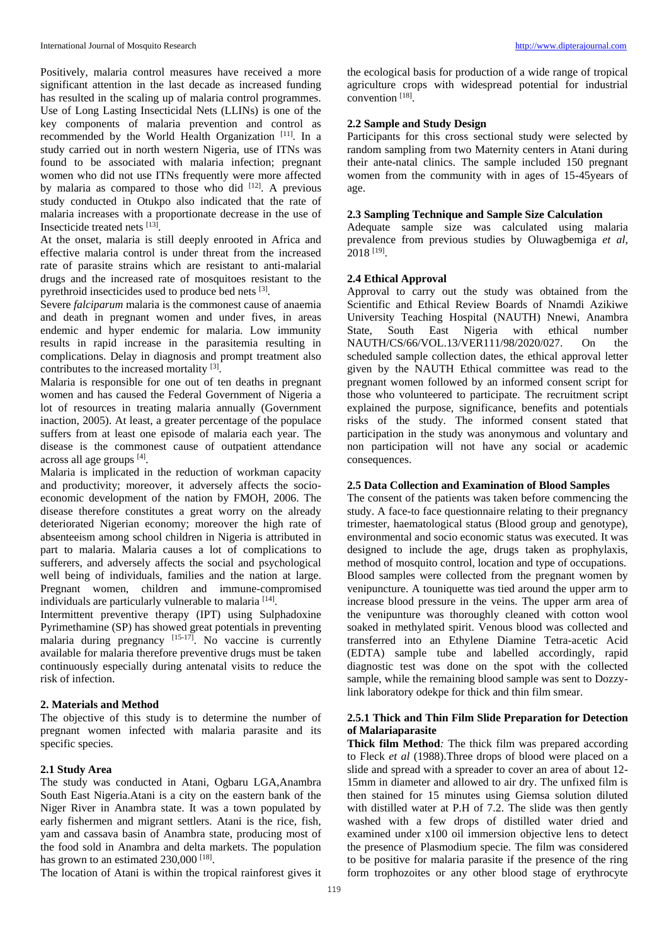Positively, malaria control measures have received a more significant attention in the last decade as increased funding has resulted in the scaling up of malaria control programmes. Use of Long Lasting Insecticidal Nets (LLINs) is one of the key components of malaria prevention and control as recommended by the World Health Organization [11]. In a study carried out in north western Nigeria, use of ITNs was found to be associated with malaria infection; pregnant women who did not use ITNs frequently were more affected by malaria as compared to those who did [12]. A previous study conducted in Otukpo also indicated that the rate of malaria increases with a proportionate decrease in the use of Insecticide treated nets [13] .

At the onset, malaria is still deeply enrooted in Africa and effective malaria control is under threat from the increased rate of parasite strains which are resistant to anti-malarial drugs and the increased rate of mosquitoes resistant to the pyrethroid insecticides used to produce bed nets [3].

Severe *falciparum* malaria is the commonest cause of anaemia and death in pregnant women and under fives, in areas endemic and hyper endemic for malaria. Low immunity results in rapid increase in the parasitemia resulting in complications. Delay in diagnosis and prompt treatment also contributes to the increased mortality  $[3]$ .

Malaria is responsible for one out of ten deaths in pregnant women and has caused the Federal Government of Nigeria a lot of resources in treating malaria annually (Government inaction, 2005). At least, a greater percentage of the populace suffers from at least one episode of malaria each year. The disease is the commonest cause of outpatient attendance across all age groups [4].

Malaria is implicated in the reduction of workman capacity and productivity; moreover, it adversely affects the socioeconomic development of the nation by FMOH, 2006. The disease therefore constitutes a great worry on the already deteriorated Nigerian economy; moreover the high rate of absenteeism among school children in Nigeria is attributed in part to malaria. Malaria causes a lot of complications to sufferers, and adversely affects the social and psychological well being of individuals, families and the nation at large. Pregnant women, children and immune-compromised individuals are particularly vulnerable to malaria [14].

Intermittent preventive therapy (IPT) using Sulphadoxine Pyrimethamine (SP) has showed great potentials in preventing malaria during pregnancy  $[15-17]$ . No vaccine is currently available for malaria therefore preventive drugs must be taken continuously especially during antenatal visits to reduce the risk of infection.

#### **2. Materials and Method**

The objective of this study is to determine the number of pregnant women infected with malaria parasite and its specific species.

## **2.1 Study Area**

The study was conducted in Atani, Ogbaru LGA,Anambra South East Nigeria.Atani is a city on the eastern bank of the Niger River in Anambra state. It was a town populated by early fishermen and migrant settlers. Atani is the rice, fish, yam and cassava basin of Anambra state, producing most of the food sold in Anambra and delta markets. The population has grown to an estimated 230,000<sup>[18]</sup>.

The location of Atani is within the tropical rainforest gives it

the ecological basis for production of a wide range of tropical agriculture crops with widespread potential for industrial convention [18].

## **2.2 Sample and Study Design**

Participants for this cross sectional study were selected by random sampling from two Maternity centers in Atani during their ante-natal clinics. The sample included 150 pregnant women from the community with in ages of 15-45years of age.

### **2.3 Sampling Technique and Sample Size Calculation**

Adequate sample size was calculated using malaria prevalence from previous studies by Oluwagbemiga *et al*,  $2018$   $^{[19]}$ .

## **2.4 Ethical Approval**

Approval to carry out the study was obtained from the Scientific and Ethical Review Boards of Nnamdi Azikiwe University Teaching Hospital (NAUTH) Nnewi, Anambra State, South East Nigeria with ethical number NAUTH/CS/66/VOL.13/VER111/98/2020/027. On the scheduled sample collection dates, the ethical approval letter given by the NAUTH Ethical committee was read to the pregnant women followed by an informed consent script for those who volunteered to participate. The recruitment script explained the purpose, significance, benefits and potentials risks of the study. The informed consent stated that participation in the study was anonymous and voluntary and non participation will not have any social or academic consequences.

### **2.5 Data Collection and Examination of Blood Samples**

The consent of the patients was taken before commencing the study. A face-to face questionnaire relating to their pregnancy trimester, haematological status (Blood group and genotype), environmental and socio economic status was executed. It was designed to include the age, drugs taken as prophylaxis, method of mosquito control, location and type of occupations. Blood samples were collected from the pregnant women by venipuncture. A touniquette was tied around the upper arm to increase blood pressure in the veins. The upper arm area of the venipunture was thoroughly cleaned with cotton wool soaked in methylated spirit. Venous blood was collected and transferred into an Ethylene Diamine Tetra-acetic Acid (EDTA) sample tube and labelled accordingly, rapid diagnostic test was done on the spot with the collected sample, while the remaining blood sample was sent to Dozzylink laboratory odekpe for thick and thin film smear.

## **2.5.1 Thick and Thin Film Slide Preparation for Detection of Malariaparasite**

**Thick film Method***:* The thick film was prepared according to Fleck *et al* (1988).Three drops of blood were placed on a slide and spread with a spreader to cover an area of about 12- 15mm in diameter and allowed to air dry. The unfixed film is then stained for 15 minutes using Giemsa solution diluted with distilled water at P.H of 7.2. The slide was then gently washed with a few drops of distilled water dried and examined under x100 oil immersion objective lens to detect the presence of Plasmodium specie*.* The film was considered to be positive for malaria parasite if the presence of the ring form trophozoites or any other blood stage of erythrocyte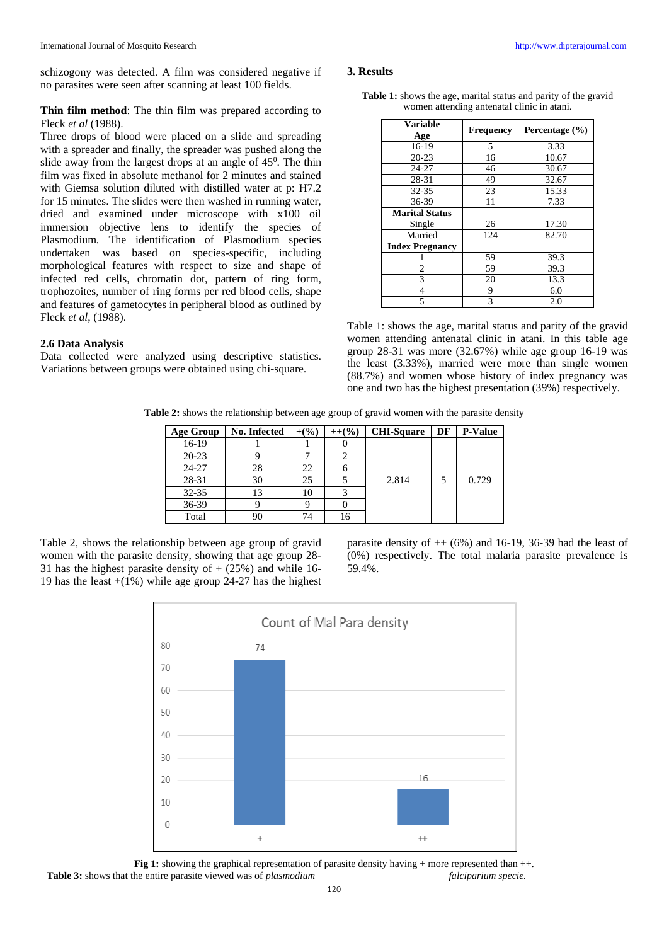schizogony was detected. A film was considered negative if no parasites were seen after scanning at least 100 fields.

**Thin film method**: The thin film was prepared according to Fleck *et al* (1988).

Three drops of blood were placed on a slide and spreading with a spreader and finally, the spreader was pushed along the slide away from the largest drops at an angle of  $45^{\circ}$ . The thin film was fixed in absolute methanol for 2 minutes and stained with Giemsa solution diluted with distilled water at p: H7.2 for 15 minutes. The slides were then washed in running water, dried and examined under microscope with x100 oil immersion objective lens to identify the species of Plasmodium*.* The identification of Plasmodium species undertaken was based on species-specific, including morphological features with respect to size and shape of infected red cells, chromatin dot, pattern of ring form, trophozoites, number of ring forms per red blood cells, shape and features of gametocytes in peripheral blood as outlined by Fleck *et al*, (1988).

#### **2.6 Data Analysis**

Data collected were analyzed using descriptive statistics. Variations between groups were obtained using chi-square.

#### **3. Results**

**Table 1:** shows the age, marital status and parity of the gravid women attending antenatal clinic in atani.

| Variable               |                  | Percentage (%) |  |  |
|------------------------|------------------|----------------|--|--|
| Age                    | <b>Frequency</b> |                |  |  |
| 16-19                  | 5                | 3.33           |  |  |
| $20 - 23$              | 16               | 10.67          |  |  |
| 24-27                  | 46               | 30.67          |  |  |
| 28-31                  | 49               | 32.67          |  |  |
| $32 - 35$              | 23               | 15.33          |  |  |
| 36-39                  | 11               | 7.33           |  |  |
| <b>Marital Status</b>  |                  |                |  |  |
| Single                 | 26               | 17.30          |  |  |
| Married                | 124              | 82.70          |  |  |
| <b>Index Pregnancy</b> |                  |                |  |  |
|                        | 59               | 39.3           |  |  |
| 2                      | 59               | 39.3           |  |  |
| 3                      | 20               | 13.3           |  |  |
| 4                      | 9                | 6.0            |  |  |
| 5                      | 3                | 2.0            |  |  |

Table 1: shows the age, marital status and parity of the gravid women attending antenatal clinic in atani. In this table age group 28-31 was more (32.67%) while age group 16-19 was the least (3.33%), married were more than single women (88.7%) and women whose history of index pregnancy was one and two has the highest presentation (39%) respectively.

**Table 2:** shows the relationship between age group of gravid women with the parasite density

| <b>Age Group</b> | No. Infected | $+($ %) | $++($ %) | <b>CHI-Square</b> | DF | <b>P-Value</b> |
|------------------|--------------|---------|----------|-------------------|----|----------------|
| $16-19$          |              |         |          |                   |    |                |
| $20 - 23$        |              |         |          |                   |    |                |
| 24-27            | 28           | 22      |          |                   |    |                |
| 28-31            | 30           | 25      |          | 2.814             | 5  | 0.729          |
| $32 - 35$        | 13           | 10      |          |                   |    |                |
| $36-39$          |              |         |          |                   |    |                |
| Total            | 90           | 74      | 16       |                   |    |                |

Table 2, shows the relationship between age group of gravid women with the parasite density, showing that age group 28- 31 has the highest parasite density of  $+$  (25%) and while 16-19 has the least  $+(1\%)$  while age group 24-27 has the highest parasite density of  $++$  (6%) and 16-19, 36-39 had the least of (0%) respectively. The total malaria parasite prevalence is 59.4%.



**Fig 1:** showing the graphical representation of parasite density having + more represented than ++. **Table 3:** shows that the entire parasite viewed was of *plasmodium* falciparium specie.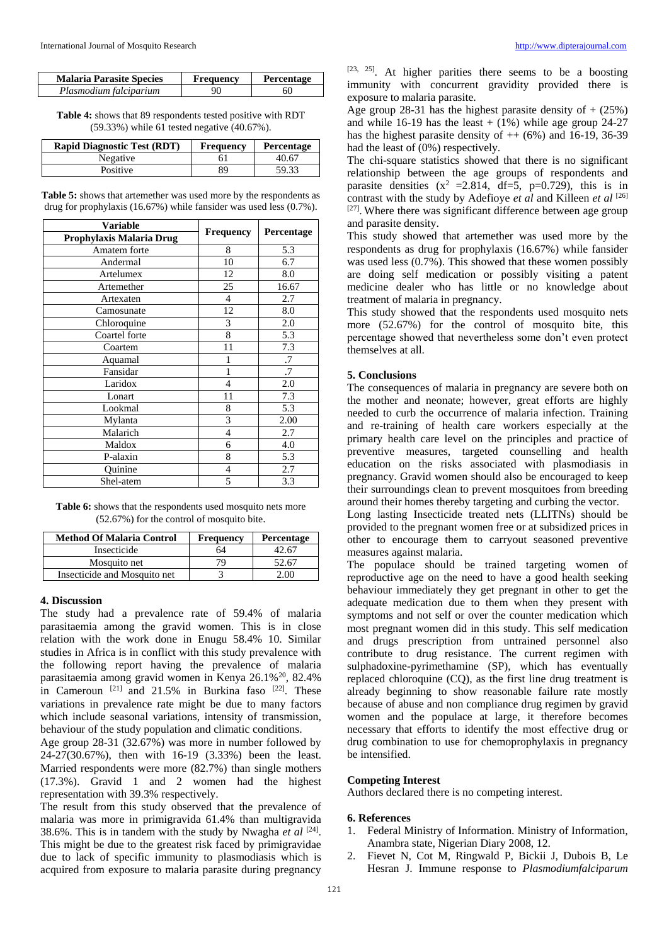| <b>Malaria Parasite Species</b> | Frequency | <b>Percentage</b> |
|---------------------------------|-----------|-------------------|
| Plasmodium falciparium          | 90        | 60                |

**Table 4:** shows that 89 respondents tested positive with RDT (59.33%) while 61 tested negative (40.67%).

| <b>Rapid Diagnostic Test (RDT)</b> | Frequency | Percentage |
|------------------------------------|-----------|------------|
| Negative                           | 61        | 40.67      |
| <b>Positive</b>                    | 89        | 59.33      |

**Table 5:** shows that artemether was used more by the respondents as drug for prophylaxis (16.67%) while fansider was used less (0.7%).

| <b>Variable</b>          |                  | Percentage |  |
|--------------------------|------------------|------------|--|
| Prophylaxis Malaria Drug | <b>Frequency</b> |            |  |
| Amatem forte             | 8                | 5.3        |  |
| Andermal                 | 10               | 6.7        |  |
| Artelumex                | 12               | 8.0        |  |
| Artemether               | 25               | 16.67      |  |
| Artexaten                | $\overline{4}$   | 2.7        |  |
| Camosunate               | 12               | 8.0        |  |
| Chloroquine              | 3                | 2.0        |  |
| Coartel forte            | 8                | 5.3        |  |
| Coartem                  | 11               | 7.3        |  |
| Aquamal                  |                  | .7         |  |
| Fansidar                 | 1                | .7         |  |
| Laridox                  | $\overline{4}$   | 2.0        |  |
| Lonart                   | 11               | 7.3        |  |
| Lookmal                  | 8                | 5.3        |  |
| Mylanta                  | 3                | 2.00       |  |
| Malarich                 | 4                | 2.7        |  |
| Maldox                   | 6                | 4.0        |  |
| P-alaxin                 | 8                | 5.3        |  |
| Ouinine                  | $\overline{4}$   | 2.7        |  |
| Shel-atem                | 5                | 3.3        |  |

**Table 6:** shows that the respondents used mosquito nets more (52.67%) for the control of mosquito bite.

| <b>Method Of Malaria Control</b> | <b>Frequency</b> | <b>Percentage</b> |
|----------------------------------|------------------|-------------------|
| Insecticide                      | 64               | 12.67             |
| Mosquito net                     |                  | 52.67             |
| Insecticide and Mosquito net     |                  |                   |

#### **4. Discussion**

The study had a prevalence rate of 59.4% of malaria parasitaemia among the gravid women. This is in close relation with the work done in Enugu 58.4% 10. Similar studies in Africa is in conflict with this study prevalence with the following report having the prevalence of malaria parasitaemia among gravid women in Kenya 26.1%<sup>20</sup>, 82.4% in Cameroun [21] and 21.5% in Burkina faso [22]. These variations in prevalence rate might be due to many factors which include seasonal variations, intensity of transmission, behaviour of the study population and climatic conditions.

Age group 28-31 (32.67%) was more in number followed by 24-27(30.67%), then with 16-19 (3.33%) been the least. Married respondents were more (82.7%) than single mothers (17.3%). Gravid 1 and 2 women had the highest representation with 39.3% respectively.

The result from this study observed that the prevalence of malaria was more in primigravida 61.4% than multigravida 38.6%. This is in tandem with the study by Nwagha *et al*  $[24]$ . This might be due to the greatest risk faced by primigravidae due to lack of specific immunity to plasmodiasis which is acquired from exposure to malaria parasite during pregnancy

[23, 25]. At higher parities there seems to be a boosting immunity with concurrent gravidity provided there is exposure to malaria parasite.

Age group 28-31 has the highest parasite density of  $+$  (25%) and while 16-19 has the least  $+$  (1%) while age group 24-27 has the highest parasite density of  $++$  (6%) and 16-19, 36-39 had the least of (0%) respectively.

The chi-square statistics showed that there is no significant relationship between the age groups of respondents and parasite densities  $(x^2 = 2.814, df=5, p=0.729)$ , this is in contrast with the study by Adefioye *et al* and Killeen *et al* [26] [27]. Where there was significant difference between age group and parasite density.

This study showed that artemether was used more by the respondents as drug for prophylaxis (16.67%) while fansider was used less (0.7%). This showed that these women possibly are doing self medication or possibly visiting a patent medicine dealer who has little or no knowledge about treatment of malaria in pregnancy.

This study showed that the respondents used mosquito nets more (52.67%) for the control of mosquito bite, this percentage showed that nevertheless some don't even protect themselves at all.

## **5. Conclusions**

The consequences of malaria in pregnancy are severe both on the mother and neonate; however, great efforts are highly needed to curb the occurrence of malaria infection. Training and re-training of health care workers especially at the primary health care level on the principles and practice of preventive measures, targeted counselling and health education on the risks associated with plasmodiasis in pregnancy. Gravid women should also be encouraged to keep their surroundings clean to prevent mosquitoes from breeding around their homes thereby targeting and curbing the vector.

Long lasting Insecticide treated nets (LLITNs) should be provided to the pregnant women free or at subsidized prices in other to encourage them to carryout seasoned preventive measures against malaria.

The populace should be trained targeting women of reproductive age on the need to have a good health seeking behaviour immediately they get pregnant in other to get the adequate medication due to them when they present with symptoms and not self or over the counter medication which most pregnant women did in this study. This self medication and drugs prescription from untrained personnel also contribute to drug resistance. The current regimen with sulphadoxine-pyrimethamine (SP), which has eventually replaced chloroquine (CQ), as the first line drug treatment is already beginning to show reasonable failure rate mostly because of abuse and non compliance drug regimen by gravid women and the populace at large, it therefore becomes necessary that efforts to identify the most effective drug or drug combination to use for chemoprophylaxis in pregnancy be intensified.

#### **Competing Interest**

Authors declared there is no competing interest.

#### **6. References**

- 1. Federal Ministry of Information. Ministry of Information, Anambra state, Nigerian Diary 2008, 12.
- 2. Fievet N, Cot M, Ringwald P, Bickii J, Dubois B, Le Hesran J. Immune response to *Plasmodiumfalciparum*